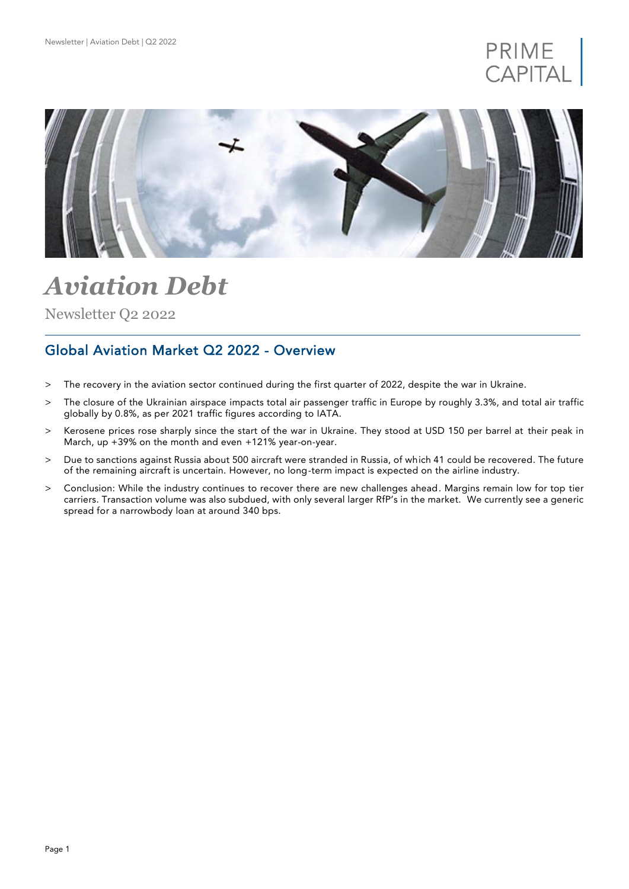



# *Aviation Debt*

Newsletter Q2 2022

## Global Aviation Market Q2 2022 - Overview

- > The recovery in the aviation sector continued during the first quarter of 2022, despite the war in Ukraine.
- > The closure of the Ukrainian airspace impacts total air passenger traffic in Europe by roughly 3.3%, and total air traffic globally by 0.8%, as per 2021 traffic figures according to IATA.
- > Kerosene prices rose sharply since the start of the war in Ukraine. They stood at USD 150 per barrel at their peak in March, up +39% on the month and even +121% year-on-year.
- > Due to sanctions against Russia about 500 aircraft were stranded in Russia, of which 41 could be recovered. The future of the remaining aircraft is uncertain. However, no long-term impact is expected on the airline industry.
- > Conclusion: While the industry continues to recover there are new challenges ahead. Margins remain low for top tier carriers. Transaction volume was also subdued, with only several larger RfP's in the market. We currently see a generic spread for a narrowbody loan at around 340 bps.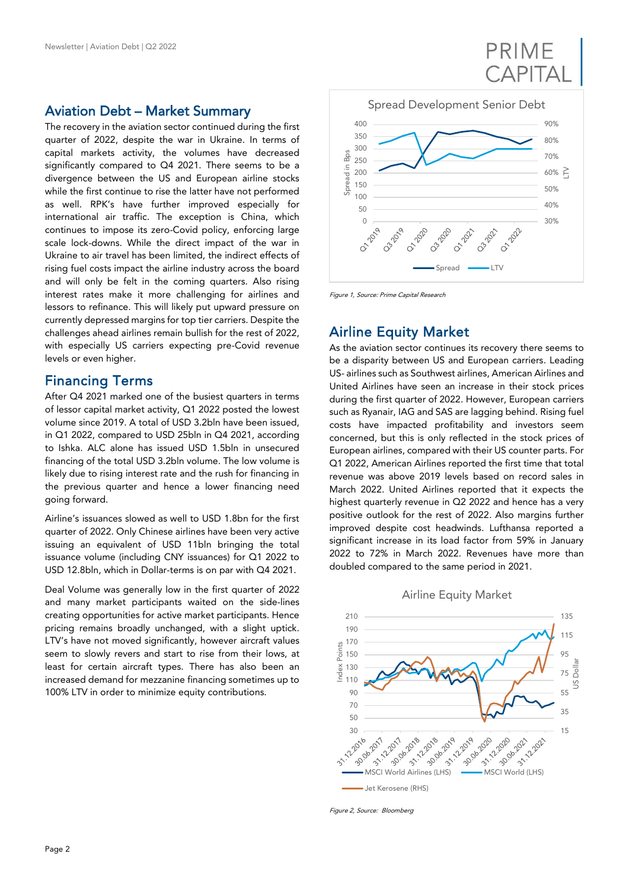### Aviation Debt – Market Summary

The recovery in the aviation sector continued during the first quarter of 2022, despite the war in Ukraine. In terms of capital markets activity, the volumes have decreased significantly compared to Q4 2021. There seems to be a divergence between the US and European airline stocks while the first continue to rise the latter have not performed as well. RPK's have further improved especially for international air traffic. The exception is China, which continues to impose its zero-Covid policy, enforcing large scale lock-downs. While the direct impact of the war in Ukraine to air travel has been limited, the indirect effects of rising fuel costs impact the airline industry across the board and will only be felt in the coming quarters. Also rising interest rates make it more challenging for airlines and lessors to refinance. This will likely put upward pressure on currently depressed margins for top tier carriers. Despite the challenges ahead airlines remain bullish for the rest of 2022, with especially US carriers expecting pre-Covid revenue levels or even higher.

### Financing Terms

After Q4 2021 marked one of the busiest quarters in terms of lessor capital market activity, Q1 2022 posted the lowest volume since 2019. A total of USD 3.2bln have been issued, in Q1 2022, compared to USD 25bln in Q4 2021, according to Ishka. ALC alone has issued USD 1.5bln in unsecured financing of the total USD 3.2bln volume. The low volume is likely due to rising interest rate and the rush for financing in the previous quarter and hence a lower financing need going forward.

Airline's issuances slowed as well to USD 1.8bn for the first quarter of 2022. Only Chinese airlines have been very active issuing an equivalent of USD 11bln bringing the total issuance volume (including CNY issuances) for Q1 2022 to USD 12.8bln, which in Dollar-terms is on par with Q4 2021.

Deal Volume was generally low in the first quarter of 2022 and many market participants waited on the side-lines creating opportunities for active market participants. Hence pricing remains broadly unchanged, with a slight uptick. LTV's have not moved significantly, however aircraft values seem to slowly revers and start to rise from their lows, at least for certain aircraft types. There has also been an increased demand for mezzanine financing sometimes up to 100% LTV in order to minimize equity contributions.



PRIME

Figure 1, Source: Prime Capital Research

### Airline Equity Market

As the aviation sector continues its recovery there seems to be a disparity between US and European carriers. Leading US- airlines such as Southwest airlines, American Airlines and United Airlines have seen an increase in their stock prices during the first quarter of 2022. However, European carriers such as Ryanair, IAG and SAS are lagging behind. Rising fuel costs have impacted profitability and investors seem concerned, but this is only reflected in the stock prices of European airlines, compared with their US counter parts. For Q1 2022, American Airlines reported the first time that total revenue was above 2019 levels based on record sales in March 2022. United Airlines reported that it expects the highest quarterly revenue in Q2 2022 and hence has a very positive outlook for the rest of 2022. Also margins further improved despite cost headwinds. Lufthansa reported a significant increase in its load factor from 59% in January 2022 to 72% in March 2022. Revenues have more than doubled compared to the same period in 2021.



Airline Equity Market

Figure 2, Source: Bloomberg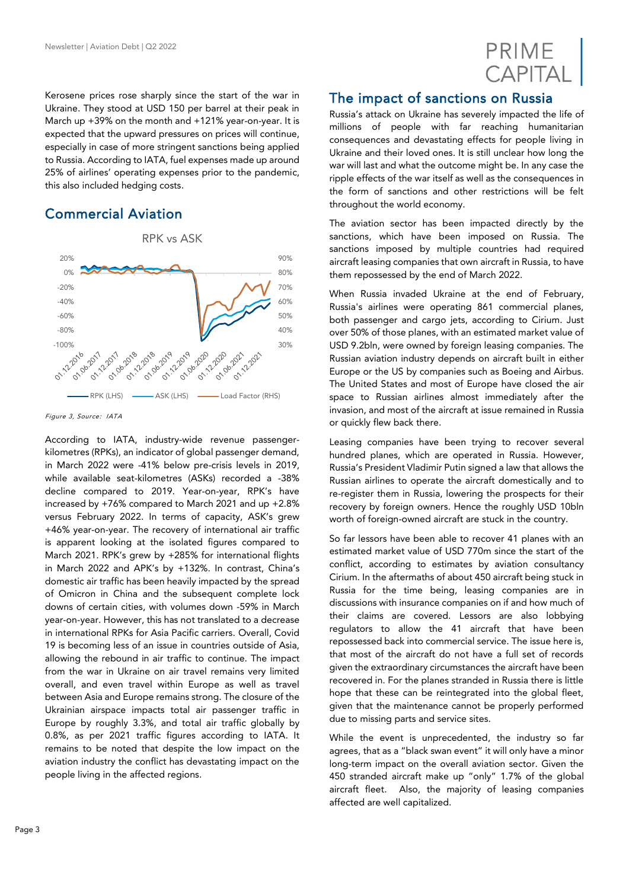

Kerosene prices rose sharply since the start of the war in Ukraine. They stood at USD 150 per barrel at their peak in March up +39% on the month and +121% year-on-year. It is expected that the upward pressures on prices will continue, especially in case of more stringent sanctions being applied to Russia. According to IATA, fuel expenses made up around 25% of airlines' operating expenses prior to the pandemic, this also included hedging costs.

# Commercial Aviation



Figure 3, Source: IATA

According to IATA, industry-wide revenue passengerkilometres (RPKs), an indicator of global passenger demand, in March 2022 were -41% below pre-crisis levels in 2019, while available seat-kilometres (ASKs) recorded a -38% decline compared to 2019. Year-on-year, RPK's have increased by +76% compared to March 2021 and up +2.8% versus February 2022. In terms of capacity, ASK's grew +46% year-on-year. The recovery of international air traffic is apparent looking at the isolated figures compared to March 2021. RPK's grew by +285% for international flights in March 2022 and APK's by +132%. In contrast, China's domestic air traffic has been heavily impacted by the spread of Omicron in China and the subsequent complete lock downs of certain cities, with volumes down -59% in March year-on-year. However, this has not translated to a decrease in international RPKs for Asia Pacific carriers. Overall, Covid 19 is becoming less of an issue in countries outside of Asia, allowing the rebound in air traffic to continue. The impact from the war in Ukraine on air travel remains very limited overall, and even travel within Europe as well as travel between Asia and Europe remains strong. The closure of the Ukrainian airspace impacts total air passenger traffic in Europe by roughly 3.3%, and total air traffic globally by 0.8%, as per 2021 traffic figures according to IATA. It remains to be noted that despite the low impact on the aviation industry the conflict has devastating impact on the people living in the affected regions.

### The impact of sanctions on Russia

Russia's attack on Ukraine has severely impacted the life of millions of people with far reaching humanitarian consequences and devastating effects for people living in Ukraine and their loved ones. It is still unclear how long the war will last and what the outcome might be. In any case the ripple effects of the war itself as well as the consequences in the form of sanctions and other restrictions will be felt throughout the world economy.

The aviation sector has been impacted directly by the sanctions, which have been imposed on Russia. The sanctions imposed by multiple countries had required aircraft leasing companies that own aircraft in Russia, to have them repossessed by the end of March 2022.

When Russia invaded Ukraine at the end of February, Russia's airlines were operating 861 commercial planes, both passenger and cargo jets, according to Cirium. Just over 50% of those planes, with an estimated market value of USD 9.2bln, were owned by foreign leasing companies. The Russian aviation industry depends on aircraft built in either Europe or the US by companies such as Boeing and Airbus. The United States and most of Europe have closed the air space to Russian airlines almost immediately after the invasion, and most of the aircraft at issue remained in Russia or quickly flew back there.

Leasing companies have been trying to recover several hundred planes, which are operated in Russia. However, Russia's President Vladimir Putin signed a law that allows the Russian airlines to operate the aircraft domestically and to re-register them in Russia, lowering the prospects for their recovery by foreign owners. Hence the roughly USD 10bln worth of foreign-owned aircraft are stuck in the country.

So far lessors have been able to recover 41 planes with an estimated market value of USD 770m since the start of the conflict, according to estimates by aviation consultancy Cirium. In the aftermaths of about 450 aircraft being stuck in Russia for the time being, leasing companies are in discussions with insurance companies on if and how much of their claims are covered. Lessors are also lobbying regulators to allow the 41 aircraft that have been repossessed back into commercial service. The issue here is, that most of the aircraft do not have a full set of records given the extraordinary circumstances the aircraft have been recovered in. For the planes stranded in Russia there is little hope that these can be reintegrated into the global fleet, given that the maintenance cannot be properly performed due to missing parts and service sites.

While the event is unprecedented, the industry so far agrees, that as a "black swan event" it will only have a minor long-term impact on the overall aviation sector. Given the 450 stranded aircraft make up "only" 1.7% of the global aircraft fleet. Also, the majority of leasing companies affected are well capitalized.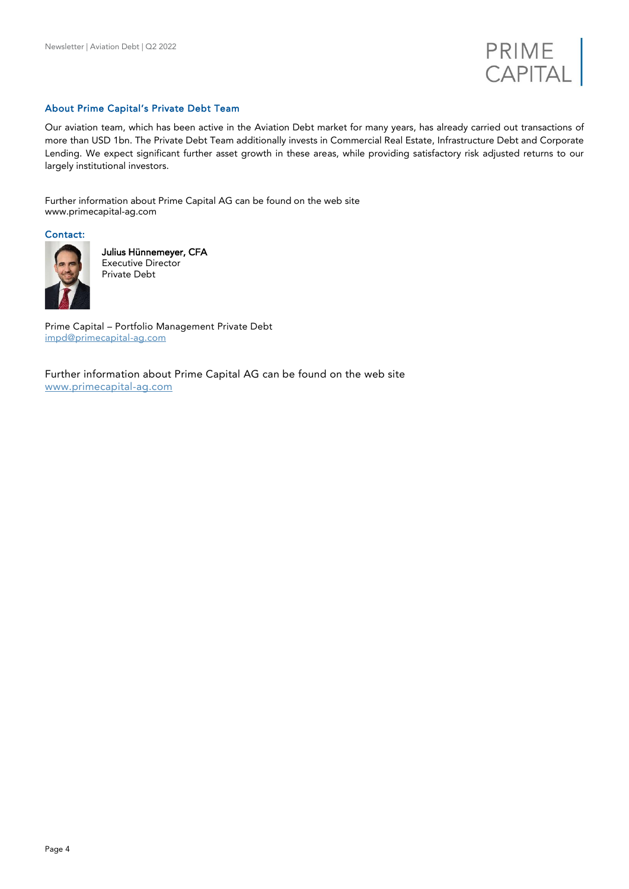

#### About Prime Capital's Private Debt Team

Our aviation team, which has been active in the Aviation Debt market for many years, has already carried out transactions of more than USD 1bn. The Private Debt Team additionally invests in Commercial Real Estate, Infrastructure Debt and Corporate Lending. We expect significant further asset growth in these areas, while providing satisfactory risk adjusted returns to our largely institutional investors.

Further information about Prime Capital AG can be found on the web site [www.primecapital-ag.com](http://www.primecapital-ag.com/)

Contact:



Julius Hünnemeyer, CFA Executive Director Private Debt

Prime Capital – Portfolio Management Private Debt [impd@primecapital-ag.com](mailto:impd@primecapital-ag.com)

Further information about Prime Capital AG can be found on the web site [www.primecapital-ag.com](http://www.primecapital-ag.com/)